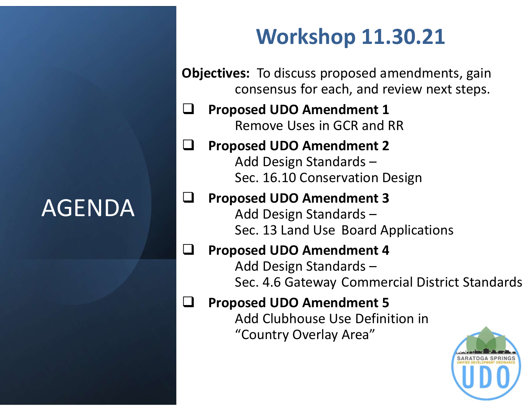## AGENDA

## Workshop 11.30.21

Objectives: To discuss proposed amendments, gain consensus for each, and review next steps.

 $\Box$  Proposed UDO Amendment 1 Remove Uses in GCR and RR

#### $\Box$  Proposed UDO Amendment 2 Add Design Standards – Sec. 16.10 Conservation Design

#### Proposed UDO Amendment 3 Add Design Standards –

Sec. 13 Land Use Board Applications

### □ Proposed UDO Amendment 4

Add Design Standards – Sec. 4.6 Gateway Commercial District Standards

#### Proposed UDO Amendment 5

Add Clubhouse Use Definition in "Country Overlay Area"

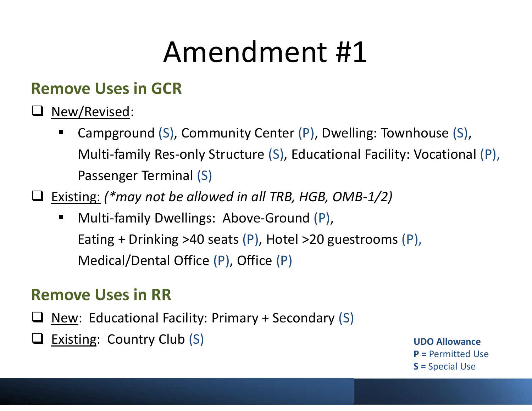### Remove Uses in GCR

- **Q** New/Revised:
	- Campground (S), Community Center (P), Dwelling: Townhouse (S), Multi-family Res-only Structure (S), Educational Facility: Vocational (P), Passenger Terminal (S)
- $\Box$  Existing: (\*may not be allowed in all TRB, HGB, OMB-1/2)
	- **Nulti-family Dwellings: Above-Ground (P),** Eating + Drinking >40 seats (P), Hotel >20 guestrooms (P), Medical/Dental Office (P), Office (P)

### Remove Uses in RR

- $\Box$  New: Educational Facility: Primary + Secondary (S)
- Existing: Country Club (S) and the contract of the contract of the contract of the contract of the contract of the contract of the contract of the contract of the contract of the contract of the contract of the contract of

P = Permitted Use S = Special Use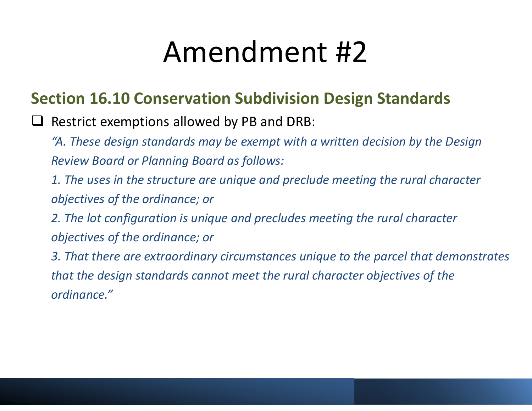### Section 16.10 Conservation Subdivision Design Standards

- $\Box$  Restrict exemptions allowed by PB and DRB:
	- "A. These design standards may be exempt with a written decision by the Design Review Board or Planning Board as follows:
	- 1. The uses in the structure are unique and preclude meeting the rural character objectives of the ordinance; or
	- 2. The lot configuration is unique and precludes meeting the rural character objectives of the ordinance; or
	- 3. That there are extraordinary circumstances unique to the parcel that demonstrates that the design standards cannot meet the rural character objectives of the ordinance."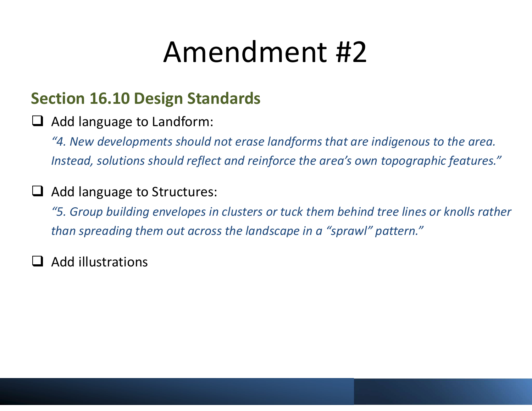### Section 16.10 Design Standards

 $\Box$  Add language to Landform:

"4. New developments should not erase landforms that are indigenous to the area. Instead, solutions should reflect and reinforce the area's own topographic features."

#### $\Box$  Add language to Structures:

"5. Group building envelopes in clusters or tuck them behind tree lines or knolls rather than spreading them out across the landscape in a "sprawl" pattern."

 $\Box$  Add illustrations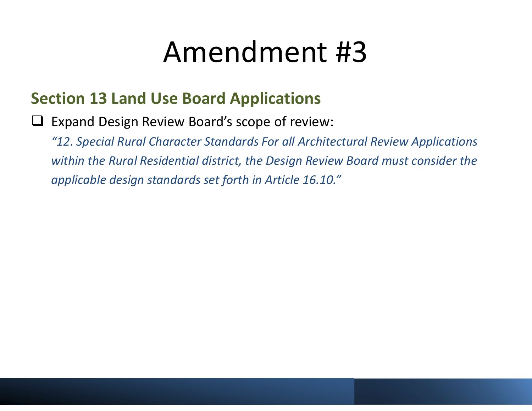### Section 13 Land Use Board Applications

□ Expand Design Review Board's scope of review:

"12. Special Rural Character Standards For all Architectural Review Applications within the Rural Residential district, the Design Review Board must consider the applicable design standards set forth in Article 16.10."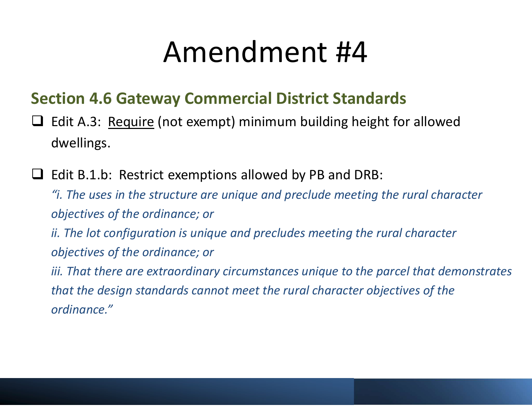### Section 4.6 Gateway Commercial District Standards

- Amendment #4<br>Section 4.6 Gateway Commercial District Standards<br>
a Edit A.3: <u>Require</u> (not exempt) minimum building height for allowed<br>
dwellings. dwellings.
- $\Box$  Edit B.1.b: Restrict exemptions allowed by PB and DRB:

"i. The uses in the structure are unique and preclude meeting the rural character objectives of the ordinance; or

ii. The lot configuration is unique and precludes meeting the rural character objectives of the ordinance; or

iii. That there are extraordinary circumstances unique to the parcel that demonstrates that the design standards cannot meet the rural character objectives of the ordinance."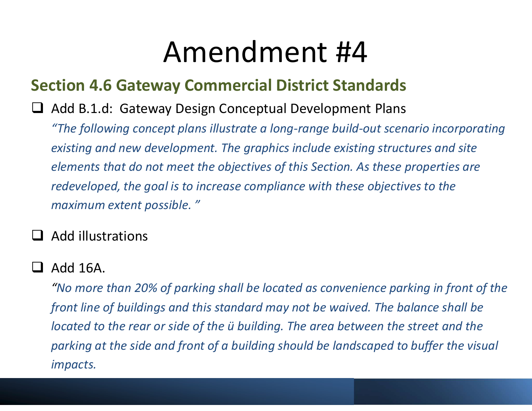### Section 4.6 Gateway Commercial District Standards

#### $\Box$  Add B.1.d: Gateway Design Conceptual Development Plans

"The following concept plans illustrate a long-range build-out scenario incorporating existing and new development. The graphics include existing structures and site elements that do not meet the objectives of this Section. As these properties are redeveloped, the goal is to increase compliance with these objectives to the maximum extent possible. "

#### Add illustrations

#### $\Box$  Add 16A.

"No more than 20% of parking shall be located as convenience parking in front of the front line of buildings and this standard may not be waived. The balance shall be located to the rear or side of the ü building. The area between the street and the parking at the side and front of a building should be landscaped to buffer the visual impacts.